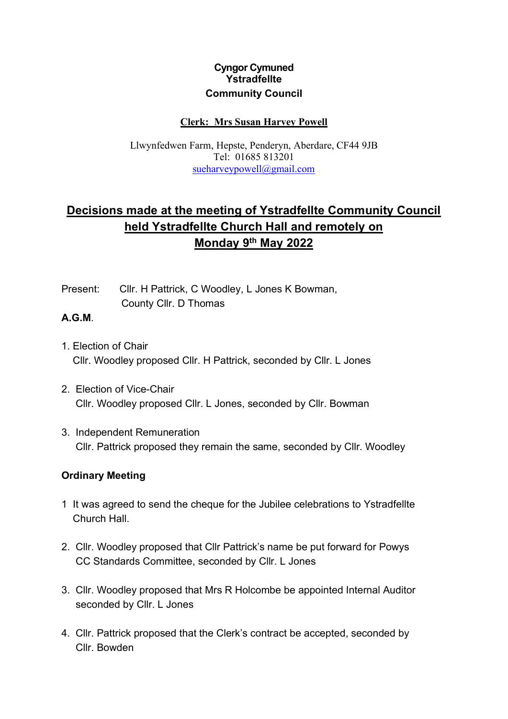## **Cyngor Cymuned Ystradfellte Community Council**

### **Clerk: Mrs Susan Harvey Powell**

Llwynfedwen Farm, Hepste, Penderyn, Aberdare, CF44 9JB Tel: 01685 813201 [sueharveypowell@gmail.com](mailto:sharveypowell@hotmail.com)

# **Decisions made at the meeting of Ystradfellte Community Council held Ystradfellte Church Hall and remotely on Monday 9th May 2022**

Present: Cllr. H Pattrick, C Woodley, L Jones K Bowman, County Cllr. D Thomas

#### **A.G.M**.

- 1. Election of Chair Cllr. Woodley proposed Cllr. H Pattrick, seconded by Cllr. L Jones
- 2. Election of Vice-Chair Cllr. Woodley proposed Cllr. L Jones, seconded by Cllr. Bowman
- 3. Independent Remuneration Cllr. Pattrick proposed they remain the same, seconded by Cllr. Woodley

### **Ordinary Meeting**

- 1 It was agreed to send the cheque for the Jubilee celebrations to Ystradfellte Church Hall.
- 2. Cllr. Woodley proposed that Cllr Pattrick's name be put forward for Powys CC Standards Committee, seconded by Cllr. L Jones
- 3. Cllr. Woodley proposed that Mrs R Holcombe be appointed Internal Auditor seconded by Cllr. L Jones
- 4. Cllr. Pattrick proposed that the Clerk's contract be accepted, seconded by Cllr. Bowden